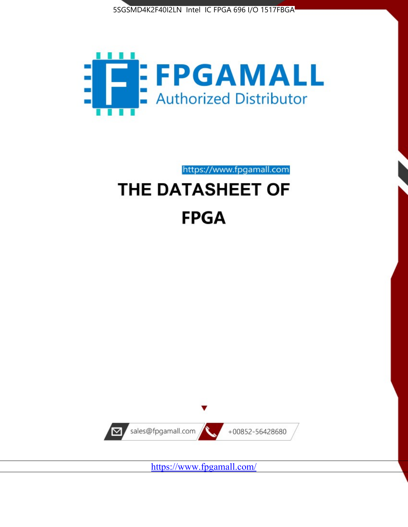



https://www.fpgamall.com

# THE DATASHEET OF **FPGA**



<https://www.fpgamall.com/>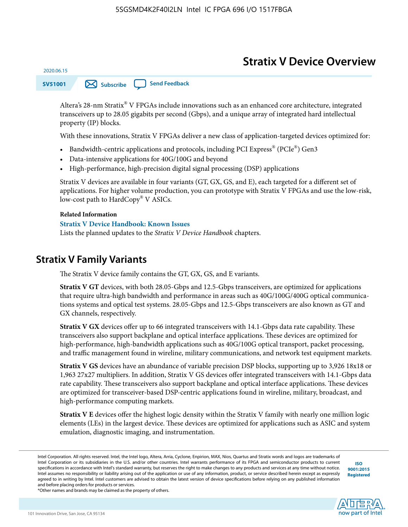# **Stratix V Device Overview**

**SV51001 [Subscribe](https://www.altera.com/servlets/subscriptions/alert?id=SV51001) [Send Feedback](mailto:FPGAtechdocfeedback@intel.com?subject=Feedback%20on%20(SV51001%202020.06.15)%20Stratix%20V%20Device%20Overview&body=We%20appreciate%20your%20feedback.%20In%20your%20comments,%20also%20specify%20the%20page%20number%20or%20paragraph.%20Thank%20you.)** 

Altera's 28-nm Stratix® V FPGAs include innovations such as an enhanced core architecture, integrated transceivers up to 28.05 gigabits per second (Gbps), and a unique array of integrated hard intellectual property (IP) blocks.

With these innovations, Stratix V FPGAs deliver a new class of application-targeted devices optimized for:

- Bandwidth-centric applications and protocols, including PCI Express® (PCIe®) Gen3
- Data-intensive applications for 40G/100G and beyond
- High-performance, high-precision digital signal processing (DSP) applications

Stratix V devices are available in four variants (GT, GX, GS, and E), each targeted for a different set of applications. For higher volume production, you can prototype with Stratix V FPGAs and use the low-risk, low-cost path to HardCopy® V ASICs.

#### **Related Information**

2020.06.15

#### **[Stratix V Device Handbook: Known Issues](http://www.altera.com/support/kdb/solutions/rd08242010_83.html)**

Lists the planned updates to the *Stratix V Device Handbook* chapters.

### **Stratix V Family Variants**

The Stratix V device family contains the GT, GX, GS, and E variants.

**Stratix V GT** devices, with both 28.05-Gbps and 12.5-Gbps transceivers, are optimized for applications that require ultra-high bandwidth and performance in areas such as 40G/100G/400G optical communica‐ tions systems and optical test systems. 28.05-Gbps and 12.5-Gbps transceivers are also known as GT and GX channels, respectively.

**Stratix V GX** devices offer up to 66 integrated transceivers with 14.1-Gbps data rate capability. These transceivers also support backplane and optical interface applications. These devices are optimized for high-performance, high-bandwidth applications such as 40G/100G optical transport, packet processing, and traffic management found in wireline, military communications, and network test equipment markets.

**Stratix V GS** devices have an abundance of variable precision DSP blocks, supporting up to 3,926 18x18 or 1,963 27x27 multipliers. In addition, Stratix V GS devices offer integrated transceivers with 14.1-Gbps data rate capability. These transceivers also support backplane and optical interface applications. These devices are optimized for transceiver-based DSP-centric applications found in wireline, military, broadcast, and high-performance computing markets.

**Stratix V E** devices offer the highest logic density within the Stratix V family with nearly one million logic elements (LEs) in the largest device. These devices are optimized for applications such as ASIC and system emulation, diagnostic imaging, and instrumentation.

**[ISO](http://www.altera.com/support/devices/reliability/certifications/rel-certifications.html) [9001:2015](http://www.altera.com/support/devices/reliability/certifications/rel-certifications.html) [Registered](http://www.altera.com/support/devices/reliability/certifications/rel-certifications.html)**

**low part of Intel** 

\*Other names and brands may be claimed as the property of others.

Intel Corporation. All rights reserved. Intel, the Intel logo, Altera, Arria, Cyclone, Enpirion, MAX, Nios, Quartus and Stratix words and logos are trademarks of Intel Corporation or its subsidiaries in the U.S. and/or other countries. Intel warrants performance of its FPGA and semiconductor products to current specifications in accordance with Intel's standard warranty, but reserves the right to make changes to any products and services at any time without notice. Intel assumes no responsibility or liability arising out of the application or use of any information, product, or service described herein except as expressly agreed to in writing by Intel. Intel customers are advised to obtain the latest version of device specifications before relying on any published information and before placing orders for products or services.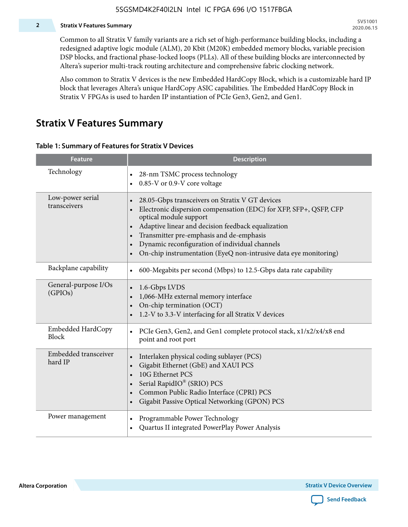#### **2 Stratix V Features Summary**

Common to all Stratix V family variants are a rich set of high-performance building blocks, including a redesigned adaptive logic module (ALM), 20 Kbit (M20K) embedded memory blocks, variable precision DSP blocks, and fractional phase-locked loops (PLLs). All of these building blocks are interconnected by Altera's superior multi-track routing architecture and comprehensive fabric clocking network.

Also common to Stratix V devices is the new Embedded HardCopy Block, which is a customizable hard IP block that leverages Altera's unique HardCopy ASIC capabilities. The Embedded HardCopy Block in Stratix V FPGAs is used to harden IP instantiation of PCIe Gen3, Gen2, and Gen1.

### **Stratix V Features Summary**

#### **Table 1: Summary of Features for Stratix V Devices**

| <b>Feature</b>                    | <b>Description</b>                                                                                                                                                                                                                                                                                                                                                                                                         |
|-----------------------------------|----------------------------------------------------------------------------------------------------------------------------------------------------------------------------------------------------------------------------------------------------------------------------------------------------------------------------------------------------------------------------------------------------------------------------|
| Technology                        | 28-nm TSMC process technology<br>$\bullet$<br>0.85-V or 0.9-V core voltage                                                                                                                                                                                                                                                                                                                                                 |
| Low-power serial<br>transceivers  | 28.05-Gbps transceivers on Stratix V GT devices<br>$\bullet$<br>Electronic dispersion compensation (EDC) for XFP, SFP+, QSFP, CFP<br>optical module support<br>Adaptive linear and decision feedback equalization<br>$\bullet$<br>Transmitter pre-emphasis and de-emphasis<br>Dynamic reconfiguration of individual channels<br>$\bullet$<br>On-chip instrumentation (EyeQ non-intrusive data eye monitoring)<br>$\bullet$ |
| Backplane capability              | 600-Megabits per second (Mbps) to 12.5-Gbps data rate capability<br>$\bullet$                                                                                                                                                                                                                                                                                                                                              |
| General-purpose I/Os<br>(GPIOs)   | 1.6-Gbps LVDS<br>1,066-MHz external memory interface<br>$\bullet$<br>On-chip termination (OCT)<br>$\bullet$<br>1.2-V to 3.3-V interfacing for all Stratix V devices                                                                                                                                                                                                                                                        |
| Embedded HardCopy<br><b>Block</b> | PCIe Gen3, Gen2, and Gen1 complete protocol stack, x1/x2/x4/x8 end<br>$\bullet$<br>point and root port                                                                                                                                                                                                                                                                                                                     |
| Embedded transceiver<br>hard IP   | Interlaken physical coding sublayer (PCS)<br>$\bullet$<br>Gigabit Ethernet (GbE) and XAUI PCS<br>$\bullet$<br>10G Ethernet PCS<br>Serial RapidIO® (SRIO) PCS<br>$\bullet$<br>Common Public Radio Interface (CPRI) PCS<br>$\bullet$<br>Gigabit Passive Optical Networking (GPON) PCS<br>$\bullet$                                                                                                                           |
| Power management                  | Programmable Power Technology<br>Quartus II integrated PowerPlay Power Analysis<br>$\bullet$                                                                                                                                                                                                                                                                                                                               |

**Altera Corporation** 

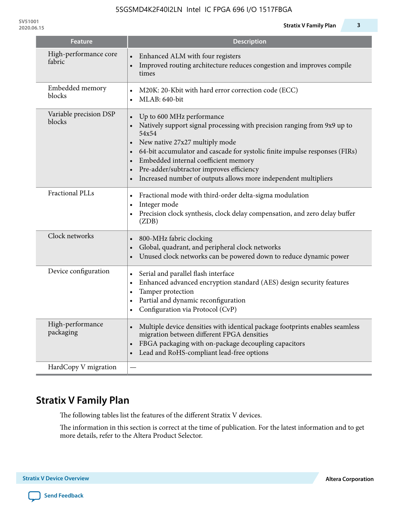| <b>Feature</b>                   | <b>Description</b>                                                                                                                                                                                                                                                                                                                                                                                                                                                   |
|----------------------------------|----------------------------------------------------------------------------------------------------------------------------------------------------------------------------------------------------------------------------------------------------------------------------------------------------------------------------------------------------------------------------------------------------------------------------------------------------------------------|
| High-performance core<br>fabric  | Enhanced ALM with four registers<br>Improved routing architecture reduces congestion and improves compile<br>$\bullet$<br>times                                                                                                                                                                                                                                                                                                                                      |
| Embedded memory<br>blocks        | M20K: 20-Kbit with hard error correction code (ECC)<br>MLAB: 640-bit                                                                                                                                                                                                                                                                                                                                                                                                 |
| Variable precision DSP<br>blocks | Up to 600 MHz performance<br>$\bullet$<br>Natively support signal processing with precision ranging from 9x9 up to<br>54x54<br>New native 27x27 multiply mode<br>$\bullet$<br>64-bit accumulator and cascade for systolic finite impulse responses (FIRs)<br>$\bullet$<br>Embedded internal coefficient memory<br>$\bullet$<br>Pre-adder/subtractor improves efficiency<br>$\bullet$<br>Increased number of outputs allows more independent multipliers<br>$\bullet$ |
| Fractional PLLs                  | Fractional mode with third-order delta-sigma modulation<br>$\bullet$<br>Integer mode<br>$\bullet$<br>Precision clock synthesis, clock delay compensation, and zero delay buffer<br>(ZDB)                                                                                                                                                                                                                                                                             |
| Clock networks                   | 800-MHz fabric clocking<br>$\bullet$<br>Global, quadrant, and peripheral clock networks<br>$\bullet$<br>Unused clock networks can be powered down to reduce dynamic power<br>$\bullet$                                                                                                                                                                                                                                                                               |
| Device configuration             | Serial and parallel flash interface<br>$\bullet$<br>Enhanced advanced encryption standard (AES) design security features<br>$\bullet$<br>Tamper protection<br>$\bullet$<br>Partial and dynamic reconfiguration<br>Configuration via Protocol (CvP)                                                                                                                                                                                                                   |
| High-performance<br>packaging    | Multiple device densities with identical package footprints enables seamless<br>$\bullet$<br>migration between different FPGA densities<br>FBGA packaging with on-package decoupling capacitors<br>$\bullet$<br>Lead and RoHS-compliant lead-free options<br>$\bullet$                                                                                                                                                                                               |
| HardCopy V migration             |                                                                                                                                                                                                                                                                                                                                                                                                                                                                      |

# **Stratix V Family Plan**

The following tables list the features of the different Stratix V devices.

The information in this section is correct at the time of publication. For the latest information and to get more details, refer to the Altera Product Selector.

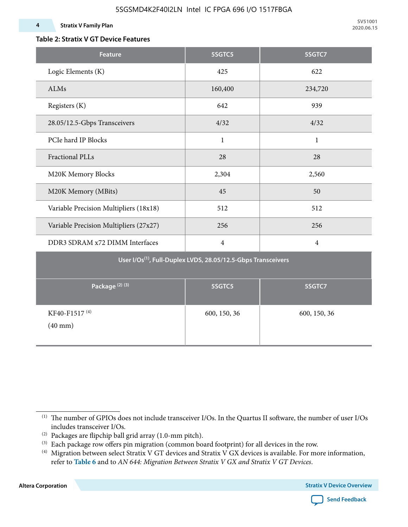#### **4 Stratix V Family Plan**

### **Table 2: Stratix V GT Device Features**

| <b>Feature</b>                                                            | 5SGTC5         | 5SGTC7         |  |  |  |  |  |  |
|---------------------------------------------------------------------------|----------------|----------------|--|--|--|--|--|--|
| Logic Elements (K)                                                        | 425            | 622            |  |  |  |  |  |  |
| ALMs                                                                      | 160,400        | 234,720        |  |  |  |  |  |  |
| Registers (K)                                                             | 642            | 939            |  |  |  |  |  |  |
| 28.05/12.5-Gbps Transceivers                                              | 4/32           | 4/32           |  |  |  |  |  |  |
| PCIe hard IP Blocks                                                       | $\mathbf{1}$   | $\mathbf{1}$   |  |  |  |  |  |  |
| <b>Fractional PLLs</b>                                                    | 28             | 28             |  |  |  |  |  |  |
| M20K Memory Blocks                                                        | 2,304          | 2,560          |  |  |  |  |  |  |
| M20K Memory (MBits)                                                       | 45             | 50             |  |  |  |  |  |  |
| Variable Precision Multipliers (18x18)                                    | 512            | 512            |  |  |  |  |  |  |
| Variable Precision Multipliers (27x27)                                    | 256            | 256            |  |  |  |  |  |  |
| DDR3 SDRAM x72 DIMM Interfaces                                            | $\overline{4}$ | $\overline{4}$ |  |  |  |  |  |  |
| User I/Os <sup>(1)</sup> , Full-Duplex LVDS, 28.05/12.5-Gbps Transceivers |                |                |  |  |  |  |  |  |
| Package <sup>(2)</sup> <sup>(3)</sup>                                     | 5SGTC5         | 5SGTC7         |  |  |  |  |  |  |
| KF40-F1517 <sup>(4)</sup><br>$(40$ mm $)$                                 | 600, 150, 36   | 600, 150, 36   |  |  |  |  |  |  |

**Altera Corporation** 



<sup>(1)</sup> The number of GPIOs does not include transceiver I/Os. In the Quartus II software, the number of user I/Os includes transceiver I/Os.

 $^{(2)}$  Packages are flipchip ball grid array (1.0-mm pitch).

<sup>(3)</sup> Each package row offers pin migration (common board footprint) for all devices in the row.

<sup>(4)</sup> Migration between select Stratix V GT devices and Stratix V GX devices is available. For more information, refer to **Table 6** and to *AN 644: Migration Between Stratix V GX and Stratix V GT Devices*.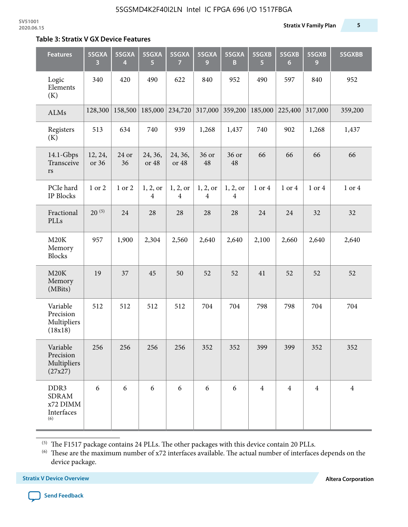#### **Table 3: Stratix V GX Device Features**

| <b>Features</b>                                                   | 5SGXA<br>3       | 5SGXA<br>4  | 5SGXA<br>5                 | 5SGXA<br>7                 | 5SGXA<br>9    | 5SGXA<br>В    | 5SGXB<br>5     | 5SGXB<br>6     | 5SGXB<br>9     | 5SGXBB         |
|-------------------------------------------------------------------|------------------|-------------|----------------------------|----------------------------|---------------|---------------|----------------|----------------|----------------|----------------|
| Logic<br>Elements<br>(K)                                          | 340              | 420         | 490                        | 622                        | 840           | 952           | 490            | 597            | 840            | 952            |
| ALMs                                                              | 128,300          | 158,500     | 185,000                    | 234,720                    | 317,000       | 359,200       | 185,000        | 225,400        | 317,000        | 359,200        |
| Registers<br>(K)                                                  | 513              | 634         | 740                        | 939                        | 1,268         | 1,437         | 740            | 902            | 1,268          | 1,437          |
| $14.1$ -Gbps<br>Transceive<br>rs                                  | 12, 24,<br>or 36 | 24 or<br>36 | 24, 36,<br>or 48           | 24, 36,<br>or 48           | 36 or<br>48   | 36 or<br>48   | 66             | 66             | 66             | 66             |
| PCIe hard<br><b>IP Blocks</b>                                     | 1 or 2           | 1 or 2      | 1, 2, or<br>$\overline{4}$ | 1, 2, or<br>$\overline{4}$ | 1, 2, or<br>4 | 1, 2, or<br>4 | 1 or 4         | 1 or 4         | 1 or 4         | 1 or 4         |
| Fractional<br>PLLs                                                | $20^{(5)}$       | 24          | 28                         | 28                         | 28            | 28            | 24             | 24             | 32             | 32             |
| M20K<br>Memory<br><b>Blocks</b>                                   | 957              | 1,900       | 2,304                      | 2,560                      | 2,640         | 2,640         | 2,100          | 2,660          | 2,640          | 2,640          |
| M20K<br>Memory<br>(MBits)                                         | 19               | 37          | 45                         | 50                         | 52            | 52            | 41             | 52             | 52             | 52             |
| Variable<br>Precision<br>Multipliers<br>(18x18)                   | 512              | 512         | 512                        | 512                        | 704           | 704           | 798            | 798            | 704            | 704            |
| Variable<br>Precision<br>Multipliers<br>(27x27)                   | 256              | 256         | 256                        | 256                        | 352           | 352           | 399            | 399            | 352            | 352            |
| DDR <sub>3</sub><br><b>SDRAM</b><br>x72 DIMM<br>Interfaces<br>(6) | 6                | 6           | 6                          | 6                          | 6             | 6             | $\overline{4}$ | $\overline{4}$ | $\overline{4}$ | $\overline{4}$ |

 $^{\left(5\right)}$  The F1517 package contains 24 PLLs. The other packages with this device contain 20 PLLs.

(6) These are the maximum number of x72 interfaces available. The actual number of interfaces depends on the device package.

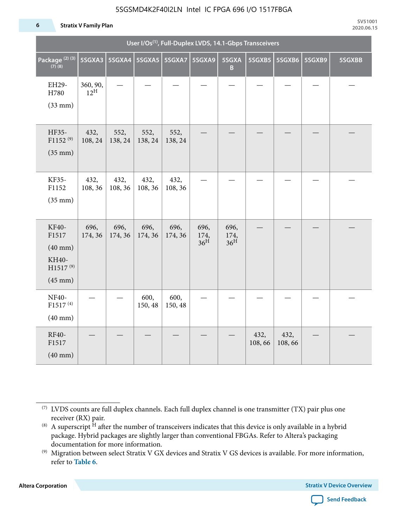#### **6 Stratix V Family Plan**

| User I/Os <sup>(1)</sup> , Full-Duplex LVDS, 14.1-Gbps Transceivers                  |                             |                          |                 |                 |                                 |                                 |                |                |        |        |
|--------------------------------------------------------------------------------------|-----------------------------|--------------------------|-----------------|-----------------|---------------------------------|---------------------------------|----------------|----------------|--------|--------|
| Package <sup>(2)(3)</sup><br>$(7)$ (8)                                               | 5SGXA3                      | 5SGXA4   5SGXA5   5SGXA7 |                 |                 | 5SGXA9                          | 5SGXA<br>B                      | 5SGXB5         | 5SGXB6         | 5SGXB9 | 5SGXBB |
| EH29-<br>H780<br>$(33$ mm $)$                                                        | 360, 90,<br>$12^{\text{H}}$ |                          |                 |                 |                                 |                                 |                |                |        |        |
| HF35-<br>$F1152^{(9)}$<br>$(35$ mm $)$                                               | 432,<br>108, 24             | 552,<br>138, 24          | 552,<br>138, 24 | 552,<br>138, 24 |                                 |                                 |                |                |        |        |
| KF35-<br>F1152<br>$(35$ mm $)$                                                       | 432,<br>108, 36             | 432,<br>108, 36          | 432,<br>108, 36 | 432,<br>108, 36 |                                 |                                 |                |                |        |        |
| KF40-<br>F1517<br>$(40$ mm $)$<br>KH40-<br>H1517 <sup>(9)</sup><br>$(45 \text{ mm})$ | 696,<br>174, 36             | 696,<br>174, 36          | 696,<br>174, 36 | 696,<br>174, 36 | 696,<br>174,<br>36 <sup>H</sup> | 696,<br>174,<br>36 <sup>H</sup> |                |                |        |        |
| NF40-<br>F1517 <sup>(4)</sup><br>$(40$ mm $)$                                        |                             |                          | 600,<br>150, 48 | 600,<br>150, 48 |                                 |                                 |                |                |        |        |
| RF40-<br>F1517<br>$(40$ mm $)$                                                       |                             |                          |                 |                 |                                 |                                 | 432,<br>108,66 | 432,<br>108,66 |        |        |

**Altera Corporation** 



<sup>(7)</sup> LVDS counts are full duplex channels. Each full duplex channel is one transmitter (TX) pair plus one receiver (RX) pair.

<sup>(8)</sup> A superscript  $H$  after the number of transceivers indicates that this device is only available in a hybrid package. Hybrid packages are slightly larger than conventional FBGAs. Refer to Altera's packaging documentation for more information.

<sup>(9)</sup> Migration between select Stratix V GX devices and Stratix V GS devices is available. For more information, refer to **Table 6**.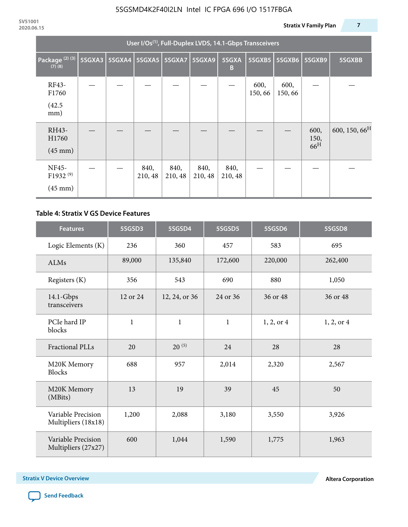| User I/Os <sup>(1)</sup> , Full-Duplex LVDS, 14.1-Gbps Transceivers |  |  |                 |                                   |                 |                 |                |                          |                                 |                           |
|---------------------------------------------------------------------|--|--|-----------------|-----------------------------------|-----------------|-----------------|----------------|--------------------------|---------------------------------|---------------------------|
| Package <sup>(2)(3)</sup><br>$(7)$ $(8)$                            |  |  |                 | 5SGXA3   5SGXA4   5SGXA5   5SGXA7 | <b>5SGXA9</b>   | 5SGXA<br>B      |                | 5SGXB5   5SGXB6   5SGXB9 |                                 | 5SGXBB                    |
| RF43-<br>F1760                                                      |  |  |                 |                                   |                 |                 | 600,<br>150,66 | 600,<br>150,66           |                                 |                           |
| (42.5)<br>mm)                                                       |  |  |                 |                                   |                 |                 |                |                          |                                 |                           |
| RH43-<br>H1760<br>$(45 \text{ mm})$                                 |  |  |                 |                                   |                 |                 |                |                          | 600,<br>150,<br>66 <sup>H</sup> | 600, 150, 66 <sup>H</sup> |
| NF45-<br>F1932 <sup>(9)</sup><br>$(45 \text{ mm})$                  |  |  | 840,<br>210, 48 | 840,<br>210, 48                   | 840,<br>210, 48 | 840,<br>210, 48 |                |                          |                                 |                           |

### **Table 4: Stratix V GS Device Features**

| <b>Features</b>                           | 5SGSD3       | 5SGSD4        | 5SGSD5       | 5SGSD6     | 5SGSD8         |
|-------------------------------------------|--------------|---------------|--------------|------------|----------------|
| Logic Elements (K)                        | 236          | 360           | 457          | 583        | 695            |
| <b>ALMs</b>                               | 89,000       | 135,840       | 172,600      | 220,000    | 262,400        |
| Registers (K)                             | 356          | 543           | 690          | 880        | 1,050          |
| $14.1$ -Gbps<br>transceivers              | 12 or 24     | 12, 24, or 36 | 24 or 36     | 36 or 48   | 36 or 48       |
| PCIe hard IP<br>blocks                    | $\mathbf{1}$ | $\mathbf{1}$  | $\mathbf{1}$ | 1, 2, or 4 | $1, 2,$ or $4$ |
| Fractional PLLs                           | 20           | $20^{(5)}$    | 24           | 28         | 28             |
| M20K Memory<br><b>Blocks</b>              | 688          | 957           | 2,014        | 2,320      | 2,567          |
| M20K Memory<br>(MBits)                    | 13           | 19            | 39           | 45         | 50             |
| Variable Precision<br>Multipliers (18x18) | 1,200        | 2,088         | 3,180        | 3,550      | 3,926          |
| Variable Precision<br>Multipliers (27x27) | 600          | 1,044         | 1,590        | 1,775      | 1,963          |

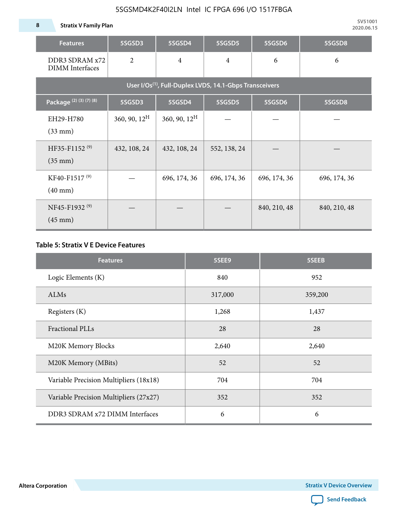**8 Stratix V Family Plan**

| <b>Features</b>                                                     | 5SGSD3                   | 5SGSD4          | 5SGSD5         | 5SGSD6       | 5SGSD8       |  |  |  |  |  |  |
|---------------------------------------------------------------------|--------------------------|-----------------|----------------|--------------|--------------|--|--|--|--|--|--|
| DDR3 SDRAM x72<br><b>DIMM</b> Interfaces                            | $\overline{2}$           | $\overline{4}$  | $\overline{4}$ | 6            | 6            |  |  |  |  |  |  |
| User I/Os <sup>(1)</sup> , Full-Duplex LVDS, 14.1-Gbps Transceivers |                          |                 |                |              |              |  |  |  |  |  |  |
| Package (2) (3) (7) (8)                                             | 5SGSD3                   | 5SGSD4          | 5SGSD5         | 5SGSD6       | 5SGSD8       |  |  |  |  |  |  |
| EH29-H780<br>$(33$ mm $)$                                           | $360, 90, 12^{\text{H}}$ | 360, 90, $12^H$ |                |              |              |  |  |  |  |  |  |
| HF35-F1152 <sup>(9)</sup><br>$(35 \text{ mm})$                      | 432, 108, 24             | 432, 108, 24    | 552, 138, 24   |              |              |  |  |  |  |  |  |
| KF40-F1517 <sup>(9)</sup><br>$(40 \text{ mm})$                      |                          | 696, 174, 36    | 696, 174, 36   | 696, 174, 36 | 696, 174, 36 |  |  |  |  |  |  |
| NF45-F1932 <sup>(9)</sup><br>$(45 \text{ mm})$                      |                          |                 |                | 840, 210, 48 | 840, 210, 48 |  |  |  |  |  |  |

### **Table 5: Stratix V E Device Features**

| <b>Features</b>                        | 5SEE9   | 5SEEB   |
|----------------------------------------|---------|---------|
| Logic Elements (K)                     | 840     | 952     |
| ALMs                                   | 317,000 | 359,200 |
| Registers (K)                          | 1,268   | 1,437   |
| <b>Fractional PLLs</b>                 | 28      | 28      |
| M20K Memory Blocks                     | 2,640   | 2,640   |
| M20K Memory (MBits)                    | 52      | 52      |
| Variable Precision Multipliers (18x18) | 704     | 704     |
| Variable Precision Multipliers (27x27) | 352     | 352     |
| DDR3 SDRAM x72 DIMM Interfaces         | 6       | 6       |

**Altera Corporation** 

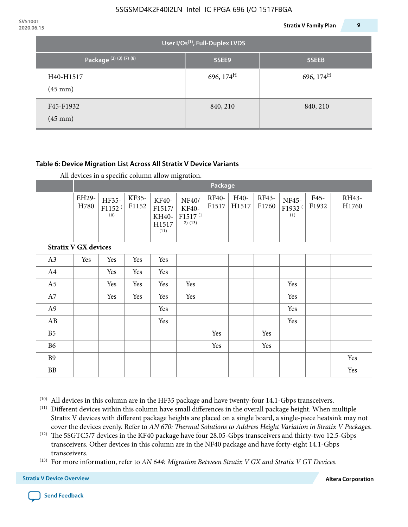| <b>JVJIUUI</b><br>2020.06.15 |                                 |                                             | 9<br><b>Stratix V Family Plan</b> |  |  |  |  |  |  |  |  |  |
|------------------------------|---------------------------------|---------------------------------------------|-----------------------------------|--|--|--|--|--|--|--|--|--|
|                              |                                 | User I/Os <sup>(1)</sup> , Full-Duplex LVDS |                                   |  |  |  |  |  |  |  |  |  |
|                              | Package <sup>(2)(3)(7)(8)</sup> | 5SEE9                                       | 5SEEB                             |  |  |  |  |  |  |  |  |  |
|                              | H40-H1517<br>$(45 \text{ mm})$  | 696, $174^{\text{H}}$                       | 696, $174^{\text{H}}$             |  |  |  |  |  |  |  |  |  |
|                              | F45-F1932<br>$(45 \text{ mm})$  | 840, 210                                    | 840, 210                          |  |  |  |  |  |  |  |  |  |

### **Table 6: Device Migration List Across All Stratix V Device Variants**

|                             |               | Package                            |                |                                           |                                                           |                |               |                |                                    |               |                |
|-----------------------------|---------------|------------------------------------|----------------|-------------------------------------------|-----------------------------------------------------------|----------------|---------------|----------------|------------------------------------|---------------|----------------|
|                             | EH29-<br>H780 | HF35-<br>F1152 <sup>(</sup><br>10) | KF35-<br>F1152 | KF40-<br>F1517/<br>KH40-<br>H1517<br>(11) | NF40/<br><b>KF40-</b><br>F1517 <sup>(1</sup><br>$2)$ (13) | RF40-<br>F1517 | H40-<br>H1517 | RF43-<br>F1760 | NF45-<br>F1932 <sup>(</sup><br>11) | F45-<br>F1932 | RH43-<br>H1760 |
| <b>Stratix V GX devices</b> |               |                                    |                |                                           |                                                           |                |               |                |                                    |               |                |
| A3                          | Yes           | Yes                                | Yes            | Yes                                       |                                                           |                |               |                |                                    |               |                |
| A4                          |               | Yes                                | Yes            | Yes                                       |                                                           |                |               |                |                                    |               |                |
| A <sub>5</sub>              |               | Yes                                | Yes            | Yes                                       | Yes                                                       |                |               |                | Yes                                |               |                |
| A7                          |               | Yes                                | Yes            | Yes                                       | Yes                                                       |                |               |                | Yes                                |               |                |
| A <sub>9</sub>              |               |                                    |                | Yes                                       |                                                           |                |               |                | Yes                                |               |                |
| AB                          |               |                                    |                | Yes                                       |                                                           |                |               |                | Yes                                |               |                |
| B <sub>5</sub>              |               |                                    |                |                                           |                                                           | Yes            |               | Yes            |                                    |               |                |
| B <sub>6</sub>              |               |                                    |                |                                           |                                                           | Yes            |               | Yes            |                                    |               |                |
| <b>B9</b>                   |               |                                    |                |                                           |                                                           |                |               |                |                                    |               | Yes            |
| <b>BB</b>                   |               |                                    |                |                                           |                                                           |                |               |                |                                    |               | Yes            |

 $(10)$  All devices in this column are in the HF35 package and have twenty-four 14.1-Gbps transceivers.



<sup>(11)</sup> Different devices within this column have small differences in the overall package height. When multiple Stratix V devices with different package heights are placed on a single board, a single-piece heatsink may not cover the devices evenly. Refer to *AN 670: Thermal Solutions to Address Height Variation in Stratix V Packages*.

<sup>(12)</sup> The 5SGTC5/7 devices in the KF40 package have four 28.05-Gbps transceivers and thirty-two 12.5-Gbps transceivers. Other devices in this column are in the NF40 package and have forty-eight 14.1-Gbps transceivers.

<sup>(13)</sup> For more information, refer to *AN 644: Migration Between Stratix V GX and Stratix V GT Devices*.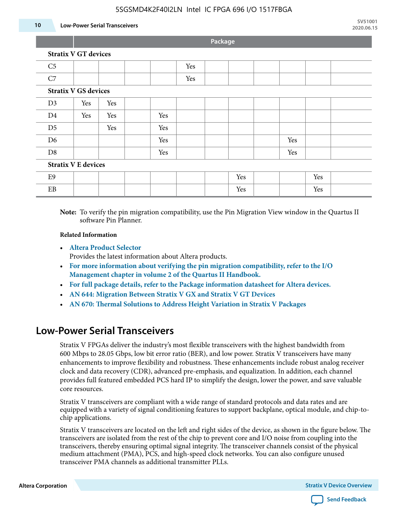#### **10 Low-Power Serial Transceivers**

**Package**

| C <sub>5</sub>              |     |     |  |     | Yes |  |     |     |     |  |
|-----------------------------|-----|-----|--|-----|-----|--|-----|-----|-----|--|
| C7                          |     |     |  |     | Yes |  |     |     |     |  |
| <b>Stratix V GS devices</b> |     |     |  |     |     |  |     |     |     |  |
| D <sub>3</sub>              | Yes | Yes |  |     |     |  |     |     |     |  |
| D <sub>4</sub>              | Yes | Yes |  | Yes |     |  |     |     |     |  |
| D <sub>5</sub>              |     | Yes |  | Yes |     |  |     |     |     |  |
| D <sub>6</sub>              |     |     |  | Yes |     |  |     | Yes |     |  |
| D <sub>8</sub>              |     |     |  | Yes |     |  |     | Yes |     |  |
| <b>Stratix V E devices</b>  |     |     |  |     |     |  |     |     |     |  |
| E9                          |     |     |  |     |     |  | Yes |     | Yes |  |
| EB                          |     |     |  |     |     |  | Yes |     | Yes |  |

**Note:** To verify the pin migration compatibility, use the Pin Migration View window in the Quartus II software Pin Planner.

#### **Related Information**

• **[Altera Product Selector](http://www.altera.com/products/selector/psg-selector.html#)**

Provides the latest information about Altera products.

- **[For more information about verifying the pin migration compatibility, refer to the I/O](http://www.altera.com/literature/hb/qts/qts_qii52013.pdf) [Management chapter in volume 2 of the Quartus II Handbook.](http://www.altera.com/literature/hb/qts/qts_qii52013.pdf)**
- **[For full package details, refer to the Package information datasheet for Altera devices.](http://www.altera.com/support/devices/packaging/specifications/pkg-pin/spe-index.jsp)**
- **[AN 644: Migration Between Stratix V GX and Stratix V GT Devices](http://www.altera.com/literature/an/an644.pdf)**
- **[AN 670: Thermal Solutions to Address Height Variation in Stratix V Packages](http://www.altera.com/literature/an/an670.pdf)**

### **Low-Power Serial Transceivers**

Stratix V FPGAs deliver the industry's most flexible transceivers with the highest bandwidth from 600 Mbps to 28.05 Gbps, low bit error ratio (BER), and low power. Stratix V transceivers have many enhancements to improve flexibility and robustness. These enhancements include robust analog receiver clock and data recovery (CDR), advanced pre-emphasis, and equalization. In addition, each channel provides full featured embedded PCS hard IP to simplify the design, lower the power, and save valuable core resources.

Stratix V transceivers are compliant with a wide range of standard protocols and data rates and are equipped with a variety of signal conditioning features to support backplane, optical module, and chip-tochip applications.

Stratix V transceivers are located on the left and right sides of the device, as shown in the figure below. The transceivers are isolated from the rest of the chip to prevent core and I/O noise from coupling into the transceivers, thereby ensuring optimal signal integrity. The transceiver channels consist of the physical medium attachment (PMA), PCS, and high-speed clock networks. You can also configure unused transceiver PMA channels as additional transmitter PLLs.

**Altera Corporation Stratix V Device Overview**

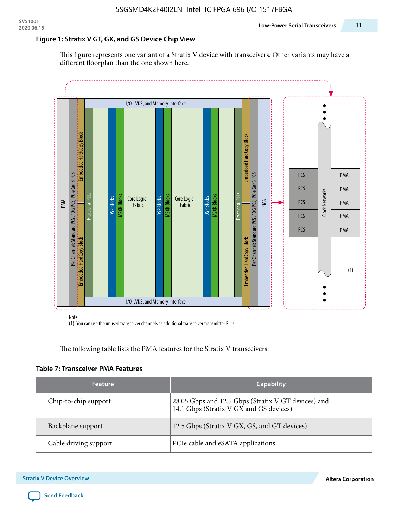#### **Figure 1: Stratix V GT, GX, and GS Device Chip View**

This figure represents one variant of a Stratix V device with transceivers. Other variants may have a different floorplan than the one shown here.



(1) You can use the unused transceiver channels as additional transceiver transmitter PLLs.

The following table lists the PMA features for the Stratix V transceivers.

#### **Table 7: Transceiver PMA Features**

| <b>Feature</b>        | <b>Capability</b>                                                                              |
|-----------------------|------------------------------------------------------------------------------------------------|
| Chip-to-chip support  | 28.05 Gbps and 12.5 Gbps (Stratix V GT devices) and<br>14.1 Gbps (Stratix V GX and GS devices) |
| Backplane support     | 12.5 Gbps (Stratix V GX, GS, and GT devices)                                                   |
| Cable driving support | PCIe cable and eSATA applications                                                              |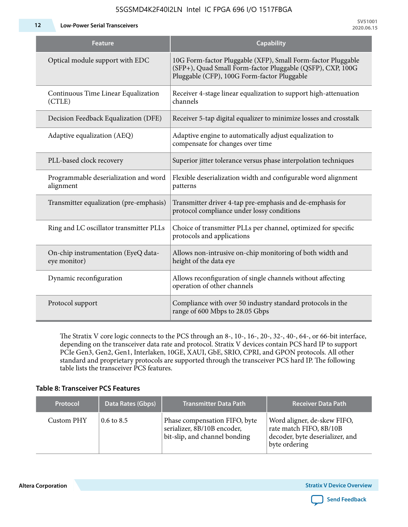**12 Low-Power Serial Transceivers**

| <b>Feature</b>                                      | <b>Capability</b>                                                                                                                                                         |
|-----------------------------------------------------|---------------------------------------------------------------------------------------------------------------------------------------------------------------------------|
| Optical module support with EDC                     | 10G Form-factor Pluggable (XFP), Small Form-factor Pluggable<br>(SFP+), Quad Small Form-factor Pluggable (QSFP), CXP, 100G<br>Pluggable (CFP), 100G Form-factor Pluggable |
| Continuous Time Linear Equalization<br>(CTLE)       | Receiver 4-stage linear equalization to support high-attenuation<br>channels                                                                                              |
| Decision Feedback Equalization (DFE)                | Receiver 5-tap digital equalizer to minimize losses and crosstalk                                                                                                         |
| Adaptive equalization (AEQ)                         | Adaptive engine to automatically adjust equalization to<br>compensate for changes over time                                                                               |
| PLL-based clock recovery                            | Superior jitter tolerance versus phase interpolation techniques                                                                                                           |
| Programmable deserialization and word<br>alignment  | Flexible deserialization width and configurable word alignment<br>patterns                                                                                                |
| Transmitter equalization (pre-emphasis)             | Transmitter driver 4-tap pre-emphasis and de-emphasis for<br>protocol compliance under lossy conditions                                                                   |
| Ring and LC oscillator transmitter PLLs             | Choice of transmitter PLLs per channel, optimized for specific<br>protocols and applications                                                                              |
| On-chip instrumentation (EyeQ data-<br>eye monitor) | Allows non-intrusive on-chip monitoring of both width and<br>height of the data eye                                                                                       |
| Dynamic reconfiguration                             | Allows reconfiguration of single channels without affecting<br>operation of other channels                                                                                |
| Protocol support                                    | Compliance with over 50 industry standard protocols in the<br>range of 600 Mbps to 28.05 Gbps                                                                             |

The Stratix V core logic connects to the PCS through an 8-, 10-, 16-, 20-, 32-, 40-, 64-, or 66-bit interface, depending on the transceiver data rate and protocol. Stratix V devices contain PCS hard IP to support PCIe Gen3, Gen2, Gen1, Interlaken, 10GE, XAUI, GbE, SRIO, CPRI, and GPON protocols. All other standard and proprietary protocols are supported through the transceiver PCS hard IP. The following table lists the transceiver PCS features.

#### **Table 8: Transceiver PCS Features**

| <b>Protocol</b> | Data Rates (Gbps)     | <b>Transmitter Data Path</b>                                                                  | <b>Receiver Data Path</b>                                                                                  |
|-----------------|-----------------------|-----------------------------------------------------------------------------------------------|------------------------------------------------------------------------------------------------------------|
| Custom PHY      | $0.6 \text{ to } 8.5$ | Phase compensation FIFO, byte<br>serializer, 8B/10B encoder,<br>bit-slip, and channel bonding | Word aligner, de-skew FIFO,<br>rate match FIFO, 8B/10B<br>decoder, byte deserializer, and<br>byte ordering |

**Altera Corporation** 

![](_page_12_Picture_10.jpeg)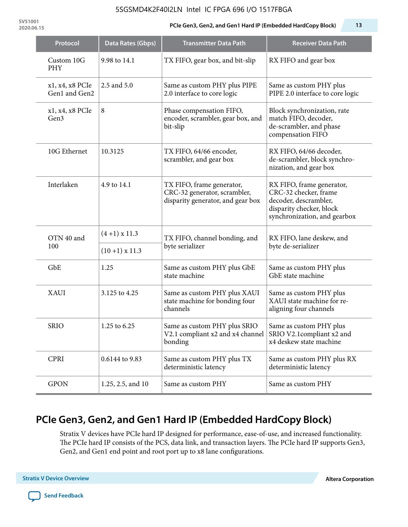**SV51001**

#### **2020.06.15 PCIe Gen3, Gen2, and Gen1 Hard IP (Embedded HardCopy Block) 13**

| Protocol                         | <b>Data Rates (Gbps)</b> | <b>Transmitter Data Path</b>                                                                           | <b>Receiver Data Path</b>                                                                                                               |  |  |
|----------------------------------|--------------------------|--------------------------------------------------------------------------------------------------------|-----------------------------------------------------------------------------------------------------------------------------------------|--|--|
| Custom 10G<br><b>PHY</b>         | 9.98 to 14.1             | TX FIFO, gear box, and bit-slip                                                                        | RX FIFO and gear box                                                                                                                    |  |  |
| x1, x4, x8 PCIe<br>Gen1 and Gen2 | 2.5 and 5.0              | Same as custom PHY plus PIPE<br>2.0 interface to core logic                                            | Same as custom PHY plus<br>PIPE 2.0 interface to core logic                                                                             |  |  |
| x1, x4, x8 PCIe<br>Gen3          | 8                        | Phase compensation FIFO,<br>encoder, scrambler, gear box, and<br>bit-slip                              | Block synchronization, rate<br>match FIFO, decoder,<br>de-scrambler, and phase<br>compensation FIFO                                     |  |  |
| 10G Ethernet                     | 10.3125                  | TX FIFO, 64/66 encoder,<br>scrambler, and gear box                                                     | RX FIFO, 64/66 decoder,<br>de-scrambler, block synchro-<br>nization, and gear box                                                       |  |  |
| Interlaken                       | 4.9 to 14.1              | TX FIFO, frame generator,<br>CRC-32 generator, scrambler,<br>disparity generator, and gear box         | RX FIFO, frame generator,<br>CRC-32 checker, frame<br>decoder, descrambler,<br>disparity checker, block<br>synchronization, and gearbox |  |  |
| OTN 40 and<br>100                | $(4+1)$ x 11.3           | TX FIFO, channel bonding, and<br>byte serializer                                                       | RX FIFO, lane deskew, and<br>byte de-serializer                                                                                         |  |  |
|                                  | $(10+1)$ x 11.3          |                                                                                                        |                                                                                                                                         |  |  |
| GbE                              | 1.25                     | Same as custom PHY plus GbE<br>state machine                                                           | Same as custom PHY plus<br>GbE state machine                                                                                            |  |  |
| <b>XAUI</b>                      | 3.125 to 4.25            | Same as custom PHY plus XAUI<br>state machine for bonding four<br>channels                             | Same as custom PHY plus<br>XAUI state machine for re-<br>aligning four channels                                                         |  |  |
| <b>SRIO</b>                      | 1.25 to 6.25             | Same as custom PHY plus SRIO<br>V2.1 compliant x2 and x4 channel SRIO V2.1 compliant x2 and<br>bonding | Same as custom PHY plus<br>x4 deskew state machine                                                                                      |  |  |
| <b>CPRI</b>                      | 0.6144 to 9.83           | Same as custom PHY plus TX<br>deterministic latency                                                    | Same as custom PHY plus RX<br>deterministic latency                                                                                     |  |  |
| <b>GPON</b>                      | 1.25, 2.5, and 10        | Same as custom PHY                                                                                     | Same as custom PHY                                                                                                                      |  |  |

# **PCIe Gen3, Gen2, and Gen1 Hard IP (Embedded HardCopy Block)**

Stratix V devices have PCIe hard IP designed for performance, ease-of-use, and increased functionality. The PCIe hard IP consists of the PCS, data link, and transaction layers. The PCIe hard IP supports Gen3, Gen2, and Gen1 end point and root port up to x8 lane configurations.

![](_page_13_Picture_9.jpeg)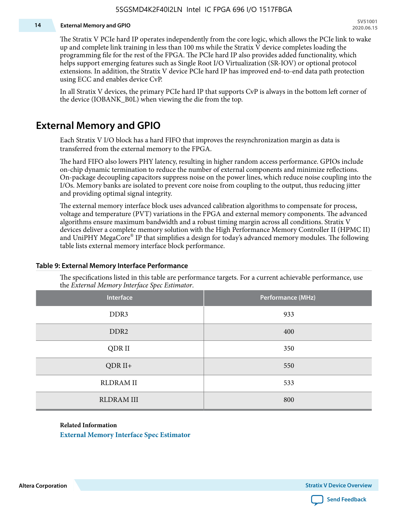#### **14 External Memory and GPIO**

The Stratix V PCIe hard IP operates independently from the core logic, which allows the PCIe link to wake up and complete link training in less than 100 ms while the Stratix V device completes loading the programming file for the rest of the FPGA. The PCIe hard IP also provides added functionality, which helps support emerging features such as Single Root I/O Virtualization (SR-IOV) or optional protocol extensions. In addition, the Stratix V device PCIe hard IP has improved end-to-end data path protection using ECC and enables device CvP.

In all Stratix V devices, the primary PCIe hard IP that supports CvP is always in the bottom left corner of the device (IOBANK\_B0L) when viewing the die from the top.

### **External Memory and GPIO**

Each Stratix V I/O block has a hard FIFO that improves the resynchronization margin as data is transferred from the external memory to the FPGA.

The hard FIFO also lowers PHY latency, resulting in higher random access performance. GPIOs include on-chip dynamic termination to reduce the number of external components and minimize reflections. On-package decoupling capacitors suppress noise on the power lines, which reduce noise coupling into the I/Os. Memory banks are isolated to prevent core noise from coupling to the output, thus reducing jitter and providing optimal signal integrity.

The external memory interface block uses advanced calibration algorithms to compensate for process, voltage and temperature (PVT) variations in the FPGA and external memory components. The advanced algorithms ensure maximum bandwidth and a robust timing margin across all conditions. Stratix V devices deliver a complete memory solution with the High Performance Memory Controller II (HPMC II) and UniPHY MegaCore® IP that simplifies a design for today's advanced memory modules. The following table lists external memory interface block performance.

| Interface         | Performance (MHz) |
|-------------------|-------------------|
| DDR3              | 933               |
| DDR <sub>2</sub>  | 400               |
| QDR II            | 350               |
| $QDR II+$         | 550               |
| <b>RLDRAM II</b>  | 533               |
| <b>RLDRAM III</b> | 800               |

#### **Table 9: External Memory Interface Performance**

The specifications listed in this table are performance targets. For a current achievable performance, use the *External Memory Interface Spec Estimator*.

#### **Related Information**

**[External Memory Interface Spec Estimator](http://www.altera.com/technology/memory/estimator/mem-emif-index.html)**

![](_page_14_Picture_16.jpeg)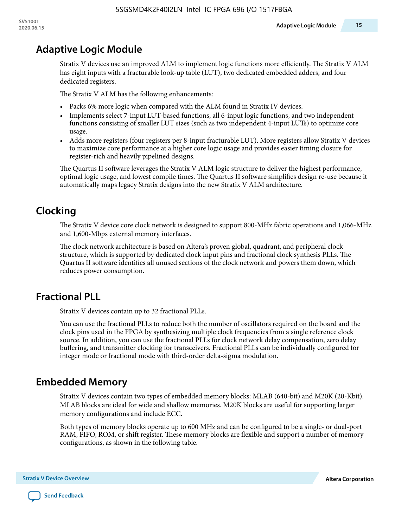# **Adaptive Logic Module**

Stratix V devices use an improved ALM to implement logic functions more efficiently. The Stratix V ALM has eight inputs with a fracturable look-up table (LUT), two dedicated embedded adders, and four dedicated registers.

The Stratix V ALM has the following enhancements:

- Packs 6% more logic when compared with the ALM found in Stratix IV devices.
- Implements select 7-input LUT-based functions, all 6-input logic functions, and two independent functions consisting of smaller LUT sizes (such as two independent 4-input LUTs) to optimize core usage.
- Adds more registers (four registers per 8-input fracturable LUT). More registers allow Stratix V devices to maximize core performance at a higher core logic usage and provides easier timing closure for register-rich and heavily pipelined designs.

The Quartus II software leverages the Stratix V ALM logic structure to deliver the highest performance, optimal logic usage, and lowest compile times. The Quartus II software simplifies design re-use because it automatically maps legacy Stratix designs into the new Stratix V ALM architecture.

# **Clocking**

The Stratix V device core clock network is designed to support 800-MHz fabric operations and 1,066-MHz and 1,600-Mbps external memory interfaces.

The clock network architecture is based on Altera's proven global, quadrant, and peripheral clock structure, which is supported by dedicated clock input pins and fractional clock synthesis PLLs. The Quartus II software identifies all unused sections of the clock network and powers them down, which reduces power consumption.

## **Fractional PLL**

Stratix V devices contain up to 32 fractional PLLs.

You can use the fractional PLLs to reduce both the number of oscillators required on the board and the clock pins used in the FPGA by synthesizing multiple clock frequencies from a single reference clock source. In addition, you can use the fractional PLLs for clock network delay compensation, zero delay buffering, and transmitter clocking for transceivers. Fractional PLLs can be individually configured for integer mode or fractional mode with third-order delta-sigma modulation.

## **Embedded Memory**

Stratix V devices contain two types of embedded memory blocks: MLAB (640-bit) and M20K (20-Kbit). MLAB blocks are ideal for wide and shallow memories. M20K blocks are useful for supporting larger memory configurations and include ECC.

Both types of memory blocks operate up to 600 MHz and can be configured to be a single- or dual-port RAM, FIFO, ROM, or shift register. These memory blocks are flexible and support a number of memory configurations, as shown in the following table.

![](_page_15_Picture_22.jpeg)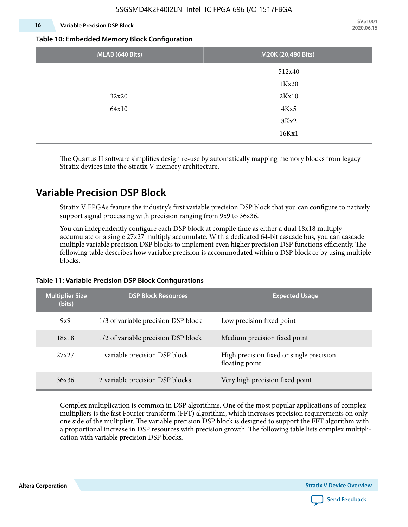#### **16 Variable Precision DSP Block**

**SV51001 2020.06.15**

#### **Table 10: Embedded Memory Block Configuration**

| MLAB (640 Bits) | M20K (20,480 Bits) |
|-----------------|--------------------|
|                 | 512x40             |
|                 | 1Kx20              |
| 32x20           | 2Kx10              |
| 64x10           | 4Kx5               |
|                 | 8Kx2               |
|                 | 16Kx1              |

The Quartus II software simplifies design re-use by automatically mapping memory blocks from legacy Stratix devices into the Stratix V memory architecture.

### **Variable Precision DSP Block**

Stratix V FPGAs feature the industry's first variable precision DSP block that you can configure to natively support signal processing with precision ranging from 9x9 to 36x36.

You can independently configure each DSP block at compile time as either a dual 18x18 multiply accumulate or a single 27x27 multiply accumulate. With a dedicated 64-bit cascade bus, you can cascade multiple variable precision DSP blocks to implement even higher precision DSP functions efficiently. The following table describes how variable precision is accommodated within a DSP block or by using multiple blocks.

| <b>Multiplier Size</b><br>(bits) | <b>DSP Block Resources</b>          | <b>Expected Usage</b>                                      |
|----------------------------------|-------------------------------------|------------------------------------------------------------|
| 9x9                              | 1/3 of variable precision DSP block | Low precision fixed point                                  |
| 18x18                            | 1/2 of variable precision DSP block | Medium precision fixed point                               |
| 27x27                            | 1 variable precision DSP block      | High precision fixed or single precision<br>floating point |
| 36x36                            | 2 variable precision DSP blocks     | Very high precision fixed point                            |

#### **Table 11: Variable Precision DSP Block Configurations**

Complex multiplication is common in DSP algorithms. One of the most popular applications of complex multipliers is the fast Fourier transform (FFT) algorithm, which increases precision requirements on only one side of the multiplier. The variable precision DSP block is designed to support the FFT algorithm with a proportional increase in DSP resources with precision growth. The following table lists complex multipli‐ cation with variable precision DSP blocks.

**Altera Corporation** 

![](_page_16_Picture_14.jpeg)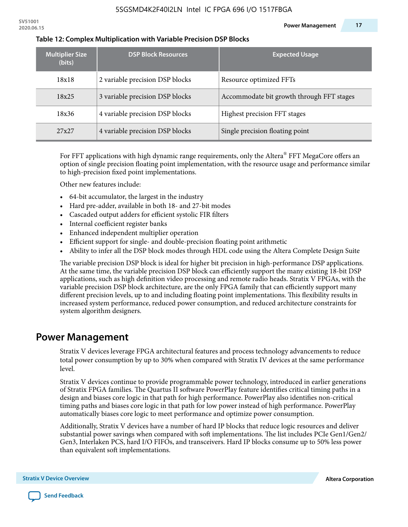| <b>Multiplier Size</b><br>(bits) | <b>DSP Block Resources</b>      | <b>Expected Usage</b>                     |
|----------------------------------|---------------------------------|-------------------------------------------|
| 18x18                            | 2 variable precision DSP blocks | Resource optimized FFTs                   |
| 18x25                            | 3 variable precision DSP blocks | Accommodate bit growth through FFT stages |
| 18x36                            | 4 variable precision DSP blocks | Highest precision FFT stages              |
| 27x27                            | 4 variable precision DSP blocks | Single precision floating point           |

#### **Table 12: Complex Multiplication with Variable Precision DSP Blocks**

For FFT applications with high dynamic range requirements, only the Altera $^\circ$  FFT MegaCore offers an option of single precision floating point implementation, with the resource usage and performance similar to high-precision fixed point implementations.

Other new features include:

- 64-bit accumulator, the largest in the industry
- Hard pre-adder, available in both 18- and 27-bit modes
- Cascaded output adders for efficient systolic FIR filters
- Internal coefficient register banks
- Enhanced independent multiplier operation
- Efficient support for single- and double-precision floating point arithmetic
- Ability to infer all the DSP block modes through HDL code using the Altera Complete Design Suite

The variable precision DSP block is ideal for higher bit precision in high-performance DSP applications. At the same time, the variable precision DSP block can efficiently support the many existing 18-bit DSP applications, such as high definition video processing and remote radio heads. Stratix V FPGAs, with the variable precision DSP block architecture, are the only FPGA family that can efficiently support many different precision levels, up to and including floating point implementations. This flexibility results in increased system performance, reduced power consumption, and reduced architecture constraints for system algorithm designers.

### **Power Management**

Stratix V devices leverage FPGA architectural features and process technology advancements to reduce total power consumption by up to 30% when compared with Stratix IV devices at the same performance level.

Stratix V devices continue to provide programmable power technology, introduced in earlier generations of Stratix FPGA families. The Quartus II software PowerPlay feature identifies critical timing paths in a design and biases core logic in that path for high performance. PowerPlay also identifies non-critical timing paths and biases core logic in that path for low power instead of high performance. PowerPlay automatically biases core logic to meet performance and optimize power consumption.

Additionally, Stratix V devices have a number of hard IP blocks that reduce logic resources and deliver substantial power savings when compared with soft implementations. The list includes PCIe Gen1/Gen2/ Gen3, Interlaken PCS, hard I/O FIFOs, and transceivers. Hard IP blocks consume up to 50% less power than equivalent soft implementations.

![](_page_17_Picture_21.jpeg)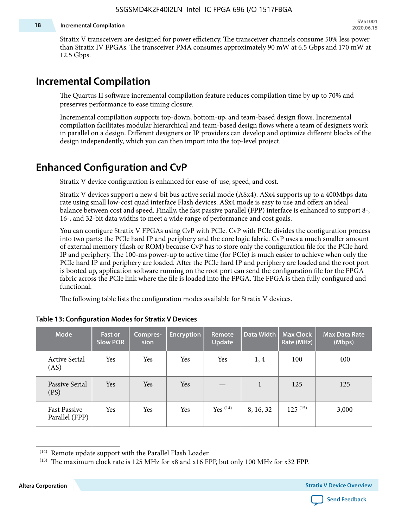#### **18 Incremental Compilation**

Stratix V transceivers are designed for power efficiency. The transceiver channels consume 50% less power than Stratix IV FPGAs. The transceiver PMA consumes approximately 90 mW at 6.5 Gbps and 170 mW at 12.5 Gbps.

### **Incremental Compilation**

The Quartus II software incremental compilation feature reduces compilation time by up to 70% and preserves performance to ease timing closure.

Incremental compilation supports top-down, bottom-up, and team-based design flows. Incremental compilation facilitates modular hierarchical and team-based design flows where a team of designers work in parallel on a design. Different designers or IP providers can develop and optimize different blocks of the design independently, which you can then import into the top-level project.

## **Enhanced Configuration and CvP**

Stratix V device configuration is enhanced for ease-of-use, speed, and cost.

Stratix V devices support a new 4-bit bus active serial mode (ASx4). ASx4 supports up to a 400Mbps data rate using small low-cost quad interface Flash devices. ASx4 mode is easy to use and offers an ideal balance between cost and speed. Finally, the fast passive parallel (FPP) interface is enhanced to support 8-, 16-, and 32-bit data widths to meet a wide range of performance and cost goals.

You can configure Stratix V FPGAs using CvP with PCIe. CvP with PCIe divides the configuration process into two parts: the PCIe hard IP and periphery and the core logic fabric. CvP uses a much smaller amount of external memory (flash or ROM) because CvP has to store only the configuration file for the PCIe hard IP and periphery. The 100-ms power-up to active time (for PCIe) is much easier to achieve when only the PCIe hard IP and periphery are loaded. After the PCIe hard IP and periphery are loaded and the root port is booted up, application software running on the root port can send the configuration file for the FPGA fabric across the PCIe link where the file is loaded into the FPGA. The FPGA is then fully configured and functional.

The following table lists the configuration modes available for Stratix V devices.

| <b>Mode</b>                           | <b>Fast or</b><br><b>Slow POR</b> | Compres-<br>sion | <b>Encryption</b> | Remote<br><b>Update</b> | Data Width | <b>Max Clock</b><br>Rate (MHz) | <b>Max Data Rate</b><br>(Mbps) |
|---------------------------------------|-----------------------------------|------------------|-------------------|-------------------------|------------|--------------------------------|--------------------------------|
| <b>Active Serial</b><br>(AS)          | Yes                               | Yes              | Yes               | Yes                     | 1, 4       | 100                            | 400                            |
| Passive Serial<br>(PS)                | Yes                               | Yes              | Yes               |                         | 1          | 125                            | 125                            |
| <b>Fast Passive</b><br>Parallel (FPP) | Yes                               | Yes              | Yes               | $Yes$ $(14)$            | 8, 16, 32  | $125^{(15)}$                   | 3,000                          |

#### **Table 13: Configuration Modes for Stratix V Devices**

**Altera Corporation Stratix V Device Overview**

![](_page_18_Picture_18.jpeg)

<sup>(14)</sup> Remote update support with the Parallel Flash Loader.

<sup>&</sup>lt;sup>(15)</sup> The maximum clock rate is 125 MHz for x8 and x16 FPP, but only 100 MHz for x32 FPP.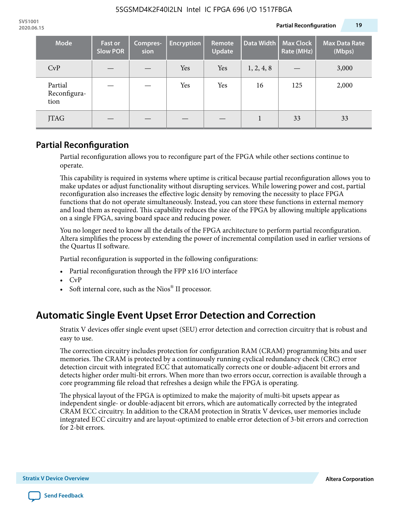| <b>Mode</b>                     | <b>Fast or</b><br><b>Slow POR</b> | Compres-<br>sion | <b>Encryption</b> | <b>Remote</b><br><b>Update</b> | Data Width | <b>Max Clock</b><br>Rate (MHz) | <b>Max Data Rate</b><br>(Mbps) |
|---------------------------------|-----------------------------------|------------------|-------------------|--------------------------------|------------|--------------------------------|--------------------------------|
| CvP                             |                                   |                  | Yes               | Yes                            | 1, 2, 4, 8 |                                | 3,000                          |
| Partial<br>Reconfigura-<br>tion |                                   |                  | Yes               | Yes                            | 16         | 125                            | 2,000                          |
| JTAG                            |                                   |                  |                   |                                |            | 33                             | 33                             |

### **Partial Reconfiguration**

Partial reconfiguration allows you to reconfigure part of the FPGA while other sections continue to operate.

This capability is required in systems where uptime is critical because partial reconfiguration allows you to make updates or adjust functionality without disrupting services. While lowering power and cost, partial reconfiguration also increases the effective logic density by removing the necessity to place FPGA functions that do not operate simultaneously. Instead, you can store these functions in external memory and load them as required. This capability reduces the size of the FPGA by allowing multiple applications on a single FPGA, saving board space and reducing power.

You no longer need to know all the details of the FPGA architecture to perform partial reconfiguration. Altera simplifies the process by extending the power of incremental compilation used in earlier versions of the Quartus II software.

Partial reconfiguration is supported in the following configurations:

- Partial reconfiguration through the FPP x16 I/O interface
- CvP
- Soft internal core, such as the Nios® II processor.

## **Automatic Single Event Upset Error Detection and Correction**

Stratix V devices offer single event upset (SEU) error detection and correction circuitry that is robust and easy to use.

The correction circuitry includes protection for configuration RAM (CRAM) programming bits and user memories. The CRAM is protected by a continuously running cyclical redundancy check (CRC) error detection circuit with integrated ECC that automatically corrects one or double-adjacent bit errors and detects higher order multi-bit errors. When more than two errors occur, correction is available through a core programming file reload that refreshes a design while the FPGA is operating.

The physical layout of the FPGA is optimized to make the majority of multi-bit upsets appear as independent single- or double-adjacent bit errors, which are automatically corrected by the integrated CRAM ECC circuitry. In addition to the CRAM protection in Stratix V devices, user memories include integrated ECC circuitry and are layout-optimized to enable error detection of 3-bit errors and correction for 2-bit errors.

![](_page_19_Picture_18.jpeg)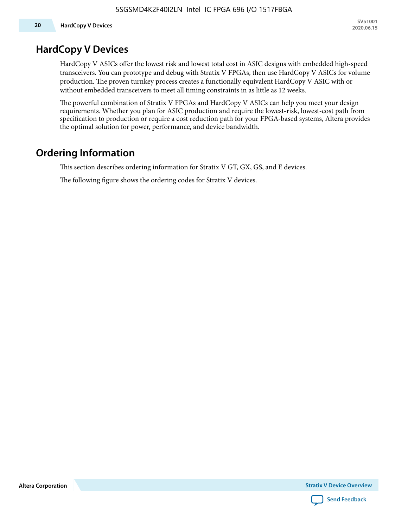### **HardCopy V Devices**

HardCopy V ASICs offer the lowest risk and lowest total cost in ASIC designs with embedded high-speed transceivers. You can prototype and debug with Stratix V FPGAs, then use HardCopy V ASICs for volume production. The proven turnkey process creates a functionally equivalent HardCopy V ASIC with or without embedded transceivers to meet all timing constraints in as little as 12 weeks.

The powerful combination of Stratix V FPGAs and HardCopy V ASICs can help you meet your design requirements. Whether you plan for ASIC production and require the lowest-risk, lowest-cost path from specification to production or require a cost reduction path for your FPGA-based systems, Altera provides the optimal solution for power, performance, and device bandwidth.

### **Ordering Information**

This section describes ordering information for Stratix V GT, GX, GS, and E devices.

The following figure shows the ordering codes for Stratix V devices.

**Altera Corporation** 

![](_page_20_Picture_11.jpeg)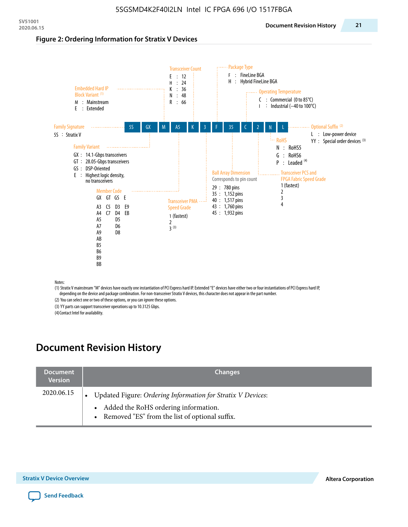#### **Figure 2: Ordering Information for Stratix V Devices**

![](_page_21_Figure_4.jpeg)

(1) Stratix V mainstream "M" devices have exactly one instantiation of PCI Express hard IP. Extended "E" devices have either two or four instantiations of PCI Express hard IP, depending on the device and package combination. For non-transceiver Stratix V devices, this character does not appear in the part number.

(2) You can select one or two of these options, or you can ignore these options.

(3) YY parts can support transceiver operations up to 10.3125 Gbps.

(4) Contact Intel for availability.

## **Document Revision History**

| <b>Document</b><br><b>Version</b> | <b>Changes</b>                                                                                                                                          |
|-----------------------------------|---------------------------------------------------------------------------------------------------------------------------------------------------------|
| 2020.06.15                        | Updated Figure: Ordering Information for Stratix V Devices:<br>Added the RoHS ordering information.<br>• Removed "ES" from the list of optional suffix. |

![](_page_21_Picture_13.jpeg)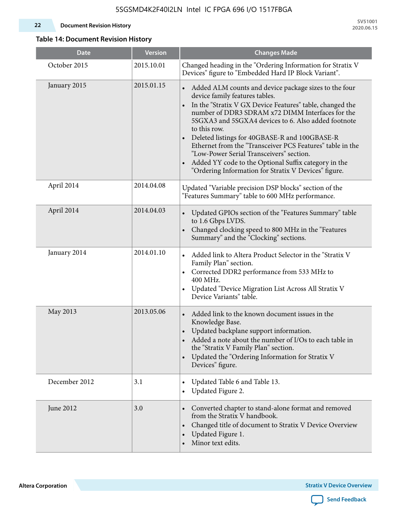#### **22 Document Revision History**

**SV51001 2020.06.15**

### **Table 14: Document Revision History**

| <b>Date</b>   | <b>Version</b> | <b>Changes Made</b>                                                                                                                                                                                                                                                                                                                                                                                                                                                                                                                                                                |
|---------------|----------------|------------------------------------------------------------------------------------------------------------------------------------------------------------------------------------------------------------------------------------------------------------------------------------------------------------------------------------------------------------------------------------------------------------------------------------------------------------------------------------------------------------------------------------------------------------------------------------|
| October 2015  | 2015.10.01     | Changed heading in the "Ordering Information for Stratix V<br>Devices" figure to "Embedded Hard IP Block Variant".                                                                                                                                                                                                                                                                                                                                                                                                                                                                 |
| January 2015  | 2015.01.15     | Added ALM counts and device package sizes to the four<br>device family features tables.<br>In the "Stratix V GX Device Features" table, changed the<br>$\bullet$<br>number of DDR3 SDRAM x72 DIMM Interfaces for the<br>5SGXA3 and 5SGXA4 devices to 6. Also added footnote<br>to this row.<br>Deleted listings for 40GBASE-R and 100GBASE-R<br>Ethernet from the "Transceiver PCS Features" table in the<br>"Low-Power Serial Transceivers" section.<br>Added YY code to the Optional Suffix category in the<br>$\bullet$<br>"Ordering Information for Stratix V Devices" figure. |
| April 2014    | 2014.04.08     | Updated "Variable precision DSP blocks" section of the<br>"Features Summary" table to 600 MHz performance.                                                                                                                                                                                                                                                                                                                                                                                                                                                                         |
| April 2014    | 2014.04.03     | Updated GPIOs section of the "Features Summary" table<br>to 1.6 Gbps LVDS.<br>Changed clocking speed to 800 MHz in the "Features<br>Summary" and the "Clocking" sections.                                                                                                                                                                                                                                                                                                                                                                                                          |
| January 2014  | 2014.01.10     | Added link to Altera Product Selector in the "Stratix V<br>Family Plan" section.<br>Corrected DDR2 performance from 533 MHz to<br>$\bullet$<br>400 MHz.<br>Updated "Device Migration List Across All Stratix V<br>Device Variants" table.                                                                                                                                                                                                                                                                                                                                          |
| May 2013      | 2013.05.06     | Added link to the known document issues in the<br>$\bullet$<br>Knowledge Base.<br>Updated backplane support information.<br>Added a note about the number of I/Os to each table in<br>the "Stratix V Family Plan" section.<br>Updated the "Ordering Information for Stratix V<br>$\bullet$<br>Devices" figure.                                                                                                                                                                                                                                                                     |
| December 2012 | 3.1            | Updated Table 6 and Table 13.<br>Updated Figure 2.<br>$\bullet$                                                                                                                                                                                                                                                                                                                                                                                                                                                                                                                    |
| June 2012     | 3.0            | Converted chapter to stand-alone format and removed<br>from the Stratix V handbook.<br>Changed title of document to Stratix V Device Overview<br>$\bullet$<br>Updated Figure 1.<br>$\bullet$<br>Minor text edits.                                                                                                                                                                                                                                                                                                                                                                  |

**Altera Corporation** 

![](_page_22_Picture_7.jpeg)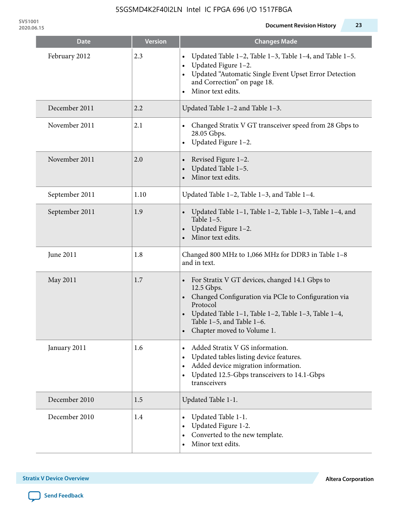**SV51001**

| Date           | <b>Version</b> | <b>Changes Made</b>                                                                                                                                                                                                                                   |
|----------------|----------------|-------------------------------------------------------------------------------------------------------------------------------------------------------------------------------------------------------------------------------------------------------|
| February 2012  | 2.3            | Updated Table 1-2, Table 1-3, Table 1-4, and Table 1-5.<br>Updated Figure 1-2.<br>Updated "Automatic Single Event Upset Error Detection<br>and Correction" on page 18.<br>Minor text edits.                                                           |
| December 2011  | 2.2            | Updated Table 1-2 and Table 1-3.                                                                                                                                                                                                                      |
| November 2011  | 2.1            | Changed Stratix V GT transceiver speed from 28 Gbps to<br>28.05 Gbps.<br>Updated Figure 1-2.                                                                                                                                                          |
| November 2011  | 2.0            | Revised Figure 1-2.<br>Updated Table 1-5.<br>Minor text edits.                                                                                                                                                                                        |
| September 2011 | 1.10           | Updated Table 1-2, Table 1-3, and Table 1-4.                                                                                                                                                                                                          |
| September 2011 | 1.9            | Updated Table 1-1, Table 1-2, Table 1-3, Table 1-4, and<br>Table $1-5$ .<br>Updated Figure 1-2.<br>Minor text edits.                                                                                                                                  |
| June 2011      | 1.8            | Changed 800 MHz to 1,066 MHz for DDR3 in Table 1-8<br>and in text.                                                                                                                                                                                    |
| May 2011       | 1.7            | For Stratix V GT devices, changed 14.1 Gbps to<br>12.5 Gbps.<br>• Changed Configuration via PCIe to Configuration via<br>Protocol<br>Updated Table 1–1, Table 1–2, Table 1–3, Table 1–4,<br>Table 1-5, and Table 1-6.<br>• Chapter moved to Volume 1. |
| January 2011   | 1.6            | Added Stratix V GS information.<br>Updated tables listing device features.<br>Added device migration information.<br>Updated 12.5-Gbps transceivers to 14.1-Gbps<br>transceivers                                                                      |
| December 2010  | 1.5            | Updated Table 1-1.                                                                                                                                                                                                                                    |
| December 2010  | 1.4            | Updated Table 1-1.<br>Updated Figure 1-2.<br>Converted to the new template.<br>Minor text edits.                                                                                                                                                      |

![](_page_23_Picture_7.jpeg)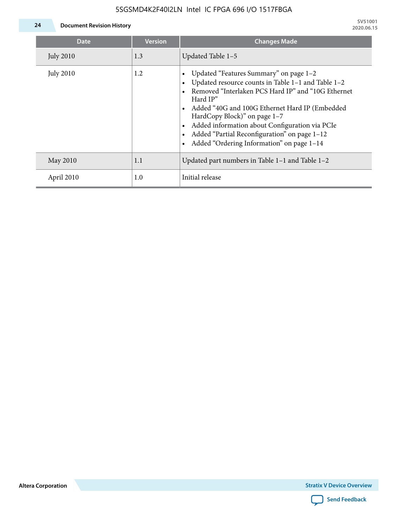![](_page_24_Picture_1.jpeg)

**24 Document Revision History**

| <b>Date</b>      | <b>Version</b> | <b>Changes Made</b>                                                                                                                                                                                                                                                                                                                                                                               |
|------------------|----------------|---------------------------------------------------------------------------------------------------------------------------------------------------------------------------------------------------------------------------------------------------------------------------------------------------------------------------------------------------------------------------------------------------|
| <b>July 2010</b> | 1.3            | Updated Table 1-5                                                                                                                                                                                                                                                                                                                                                                                 |
| <b>July 2010</b> | 1.2            | Updated "Features Summary" on page 1-2<br>Updated resource counts in Table 1-1 and Table 1-2<br>Removed "Interlaken PCS Hard IP" and "10G Ethernet<br>Hard IP"<br>• Added "40G and 100G Ethernet Hard IP (Embedded<br>HardCopy Block)" on page 1-7<br>Added information about Configuration via PCIe<br>Added "Partial Reconfiguration" on page 1-12<br>Added "Ordering Information" on page 1-14 |
| May 2010         | 1.1            | Updated part numbers in Table $1-1$ and Table $1-2$                                                                                                                                                                                                                                                                                                                                               |
| April 2010       | 1.0            | Initial release                                                                                                                                                                                                                                                                                                                                                                                   |

**Altera Corporation** 

![](_page_24_Picture_7.jpeg)